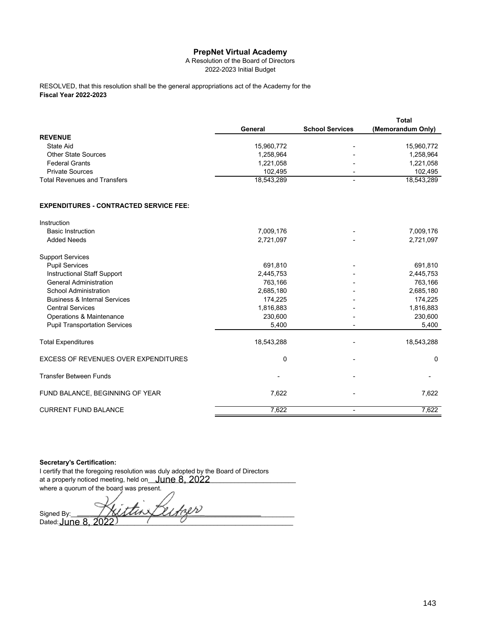## **PrepNet Virtual Academy**

A Resolution of the Board of Directors 2022-2023 Initial Budget

**Fiscal Year 2022-2023** RESOLVED, that this resolution shall be the general appropriations act of the Academy for the

|                                     |            |                          | Total             |
|-------------------------------------|------------|--------------------------|-------------------|
|                                     | General    | <b>School Services</b>   | (Memorandum Only) |
| <b>REVENUE</b>                      |            |                          |                   |
| State Aid                           | 15.960.772 | $\overline{\phantom{0}}$ | 15,960,772        |
| <b>Other State Sources</b>          | 1.258.964  | $\overline{\phantom{0}}$ | 1,258,964         |
| <b>Federal Grants</b>               | 1.221.058  | ۰                        | 1,221,058         |
| <b>Private Sources</b>              | 102.495    | $\overline{a}$           | 102.495           |
| <b>Total Revenues and Transfers</b> | 18.543.289 | $\overline{\phantom{0}}$ | 18.543.289        |

## **EXPENDITURES - CONTRACTED SERVICE FEE:**

| Instruction                                 |            |            |
|---------------------------------------------|------------|------------|
| <b>Basic Instruction</b>                    | 7,009,176  | 7,009,176  |
| <b>Added Needs</b>                          | 2,721,097  | 2,721,097  |
| <b>Support Services</b>                     |            |            |
| <b>Pupil Services</b>                       | 691,810    | 691,810    |
| Instructional Staff Support                 | 2,445,753  | 2,445,753  |
| <b>General Administration</b>               | 763,166    | 763,166    |
| School Administration                       | 2,685,180  | 2,685,180  |
| <b>Business &amp; Internal Services</b>     | 174,225    | 174,225    |
| <b>Central Services</b>                     | 1,816,883  | 1,816,883  |
| Operations & Maintenance                    | 230,600    | 230,600    |
| <b>Pupil Transportation Services</b>        | 5,400      | 5,400      |
| <b>Total Expenditures</b>                   | 18,543,288 | 18,543,288 |
| <b>EXCESS OF REVENUES OVER EXPENDITURES</b> | 0          | 0          |
| <b>Transfer Between Funds</b>               |            |            |
| FUND BALANCE, BEGINNING OF YEAR             | 7,622      | 7,622      |
| <b>CURRENT FUND BALANCE</b>                 | 7,622      | 7,622      |

## **Secretary's Certification:**

I certify that the foregoing resolution was duly adopted by the Board of Directors at a properly noticed meeting, held on\_\_\_\_\_\_\_\_\_\_\_\_\_\_\_\_\_\_\_\_\_\_\_\_\_\_\_\_\_\_\_\_\_\_\_\_\_\_\_\_\_ June 8, 2022 where a quorum of the board was present.

Signed By: 1000 Signed By: 1000 Signed By: Dated:\_\_\_\_\_\_\_\_\_\_\_\_\_\_\_\_\_\_\_\_\_\_\_\_\_\_\_\_\_\_\_\_\_\_\_\_\_\_\_\_\_\_\_\_\_\_\_\_\_\_\_\_\_\_\_\_\_\_\_\_\_\_\_\_\_ June 8, 2022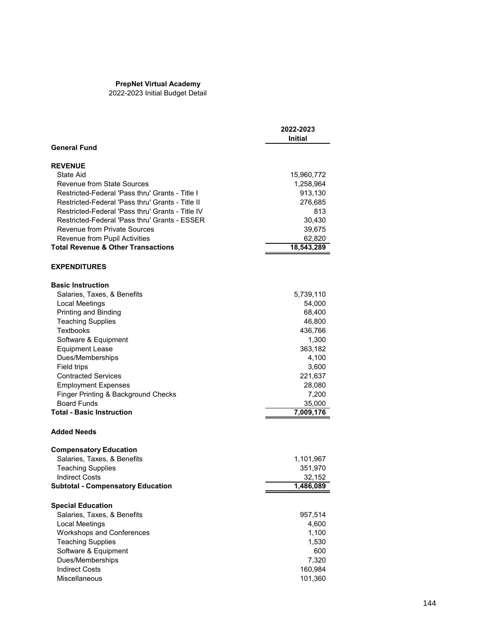## **PrepNet Virtual Academy**

2022-2023 Initial Budget Detail

|                                                  | 2022-2023<br><b>Initial</b> |
|--------------------------------------------------|-----------------------------|
| <b>General Fund</b>                              |                             |
| <b>REVENUE</b>                                   |                             |
| State Aid                                        | 15,960,772                  |
| Revenue from State Sources                       | 1,258,964                   |
| Restricted-Federal 'Pass thru' Grants - Title I  | 913,130                     |
| Restricted-Federal 'Pass thru' Grants - Title II | 276,685                     |
| Restricted-Federal 'Pass thru' Grants - Title IV | 813                         |
| Restricted-Federal 'Pass thru' Grants - ESSER    | 30,430                      |
| <b>Revenue from Private Sources</b>              | 39,675                      |
| Revenue from Pupil Activities                    | 62,820                      |
| <b>Total Revenue &amp; Other Transactions</b>    | 18,543,289                  |
| <b>EXPENDITURES</b>                              |                             |
| <b>Basic Instruction</b>                         |                             |
| Salaries, Taxes, & Benefits                      | 5,739,110                   |
| Local Meetings                                   | 54,000                      |
| Printing and Binding                             | 68,400                      |
| <b>Teaching Supplies</b>                         | 46,800                      |
| Textbooks                                        | 436,766                     |
| Software & Equipment                             | 1,300                       |
| <b>Equipment Lease</b>                           | 363,182                     |
| Dues/Memberships                                 | 4,100                       |
| Field trips<br><b>Contracted Services</b>        | 3,600<br>221,637            |
| <b>Employment Expenses</b>                       | 28,080                      |
| Finger Printing & Background Checks              | 7,200                       |
| <b>Board Funds</b>                               | 35,000                      |
| <b>Total - Basic Instruction</b>                 | 7,009,176                   |
| <b>Added Needs</b>                               |                             |
| <b>Compensatory Education</b>                    |                             |
| Salaries, Taxes, & Benefits                      | 1,101,967                   |
| <b>Teaching Supplies</b>                         | 351,970                     |
| <b>Indirect Costs</b>                            | 32,152                      |
| <b>Subtotal - Compensatory Education</b>         | 1,486,089                   |
| <b>Special Education</b>                         |                             |
| Salaries, Taxes, & Benefits                      | 957,514                     |
| Local Meetings                                   | 4,600                       |
| Workshops and Conferences                        | 1,100                       |
| <b>Teaching Supplies</b>                         | 1,530                       |
| Software & Equipment                             | 600                         |
| Dues/Memberships                                 | 7,320                       |
| <b>Indirect Costs</b>                            | 160,984                     |
| Miscellaneous                                    | 101,360                     |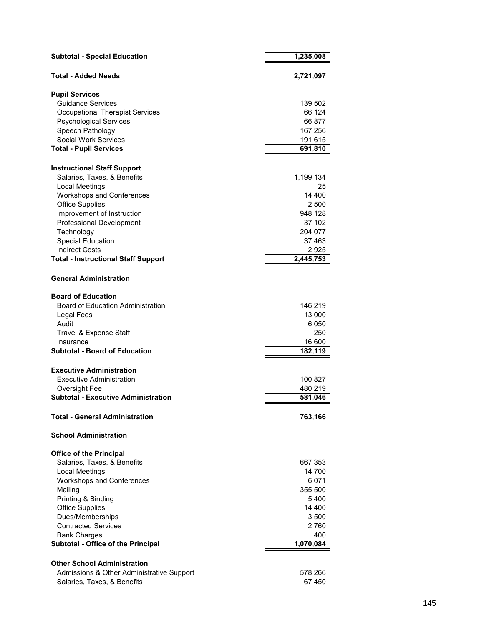| <b>Subtotal - Special Education</b>                                 | 1,235,008          |
|---------------------------------------------------------------------|--------------------|
| <b>Total - Added Needs</b>                                          | 2,721,097          |
| <b>Pupil Services</b>                                               |                    |
| <b>Guidance Services</b>                                            | 139,502            |
| <b>Occupational Therapist Services</b>                              | 66,124             |
| <b>Psychological Services</b>                                       | 66,877             |
| Speech Pathology                                                    | 167,256            |
| Social Work Services                                                | 191,615            |
| <b>Total - Pupil Services</b>                                       | 691,810            |
| <b>Instructional Staff Support</b>                                  |                    |
| Salaries, Taxes, & Benefits                                         | 1,199,134          |
| Local Meetings                                                      | 25                 |
| <b>Workshops and Conferences</b>                                    | 14,400             |
| <b>Office Supplies</b>                                              | 2,500              |
| Improvement of Instruction                                          | 948,128            |
| Professional Development                                            | 37,102             |
| Technology                                                          | 204,077            |
| <b>Special Education</b>                                            | 37,463             |
| <b>Indirect Costs</b><br><b>Total - Instructional Staff Support</b> | 2,925<br>2,445,753 |
|                                                                     |                    |
| <b>General Administration</b>                                       |                    |
| <b>Board of Education</b>                                           |                    |
| <b>Board of Education Administration</b>                            | 146,219            |
| Legal Fees                                                          | 13,000             |
| Audit                                                               | 6,050              |
| Travel & Expense Staff                                              | 250                |
| Insurance                                                           | 16,600             |
| <b>Subtotal - Board of Education</b>                                | 182,119            |
| <b>Executive Administration</b>                                     |                    |
| Executive Administration                                            | 100,827            |
| Oversight Fee                                                       | 480,219            |
| <b>Subtotal - Executive Administration</b>                          | 581,046            |
| <b>Total - General Administration</b>                               | 763,166            |
| <b>School Administration</b>                                        |                    |
| <b>Office of the Principal</b>                                      |                    |
| Salaries, Taxes, & Benefits                                         | 667,353            |
| Local Meetings                                                      | 14,700             |
| <b>Workshops and Conferences</b>                                    | 6,071              |
| Mailing                                                             | 355,500            |
| Printing & Binding                                                  | 5,400              |
| <b>Office Supplies</b>                                              | 14,400             |
| Dues/Memberships                                                    | 3,500              |
| <b>Contracted Services</b>                                          | 2,760              |
| <b>Bank Charges</b>                                                 | 400                |
| <b>Subtotal - Office of the Principal</b>                           | 1,070,084          |
| <b>Other School Administration</b>                                  |                    |
| Admissions & Other Administrative Support                           | 578,266            |
| Salaries, Taxes, & Benefits                                         | 67,450             |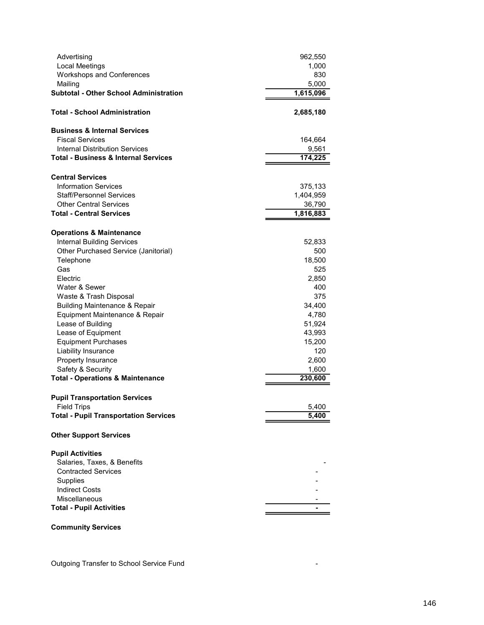| Advertising                                     | 962,550   |
|-------------------------------------------------|-----------|
| Local Meetings                                  | 1,000     |
| <b>Workshops and Conferences</b>                | 830       |
| Mailing                                         | 5,000     |
| <b>Subtotal - Other School Administration</b>   | 1,615,096 |
| Total - School Administration                   | 2,685,180 |
| <b>Business &amp; Internal Services</b>         |           |
| <b>Fiscal Services</b>                          | 164,664   |
| <b>Internal Distribution Services</b>           | 9,561     |
| <b>Total - Business &amp; Internal Services</b> | 174,225   |
| <b>Central Services</b>                         |           |
| <b>Information Services</b>                     | 375,133   |
| <b>Staff/Personnel Services</b>                 | 1,404,959 |
| <b>Other Central Services</b>                   | 36,790    |
| <b>Total - Central Services</b>                 | 1,816,883 |
| <b>Operations &amp; Maintenance</b>             |           |
| <b>Internal Building Services</b>               | 52,833    |
| Other Purchased Service (Janitorial)            | 500       |
| Telephone                                       | 18,500    |
| Gas                                             | 525       |
| Electric                                        | 2,850     |
| Water & Sewer                                   | 400       |
| Waste & Trash Disposal                          | 375       |
| <b>Building Maintenance &amp; Repair</b>        | 34,400    |
| Equipment Maintenance & Repair                  | 4,780     |
| Lease of Building                               | 51,924    |
| Lease of Equipment                              | 43,993    |
| <b>Equipment Purchases</b>                      | 15,200    |
| Liability Insurance                             | 120       |
| Property Insurance                              | 2,600     |
| Safety & Security                               | 1,600     |
| <b>Total - Operations &amp; Maintenance</b>     | 230,600   |
| <b>Pupil Transportation Services</b>            |           |
| <b>Field Trips</b>                              | 5,400     |
| <b>Total - Pupil Transportation Services</b>    | 5,400     |
| <b>Other Support Services</b>                   |           |
| <b>Pupil Activities</b>                         |           |
| Salaries, Taxes, & Benefits                     |           |
| <b>Contracted Services</b>                      |           |
| Supplies                                        |           |
| <b>Indirect Costs</b>                           |           |
| Miscellaneous                                   |           |
| <b>Total - Pupil Activities</b>                 |           |
|                                                 |           |

**Community Services**

Outgoing Transfer to School Service Fund -